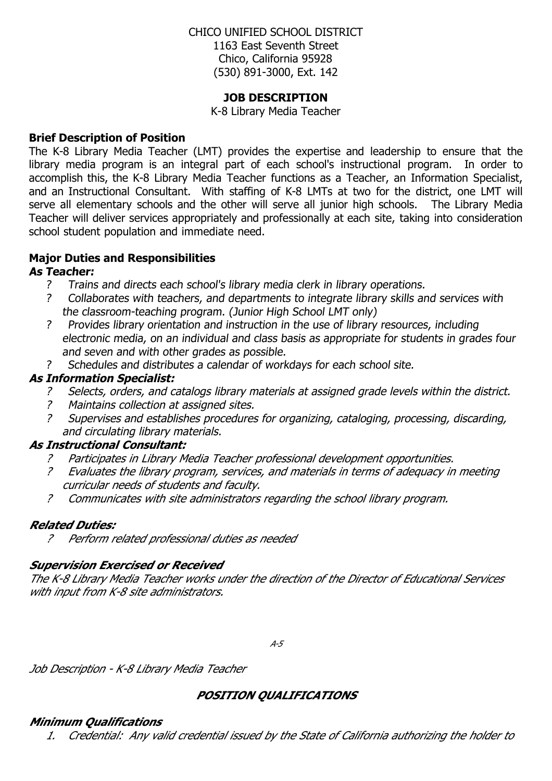## CHICO UNIFIED SCHOOL DISTRICT 1163 East Seventh Street Chico, California 95928 (530) 891-3000, Ext. 142

#### **JOB DESCRIPTION**

K-8 Library Media Teacher

#### **Brief Description of Position**

The K-8 Library Media Teacher (LMT) provides the expertise and leadership to ensure that the library media program is an integral part of each school's instructional program. In order to accomplish this, the K-8 Library Media Teacher functions as a Teacher, an Information Specialist, and an Instructional Consultant. With staffing of K-8 LMTs at two for the district, one LMT will serve all elementary schools and the other will serve all junior high schools. The Library Media Teacher will deliver services appropriately and professionally at each site, taking into consideration school student population and immediate need.

# **Major Duties and Responsibilities**

#### **As Teacher:**

- ? Trains and directs each school's library media clerk in library operations.
- ? Collaborates with teachers, and departments to integrate library skills and services with the classroom-teaching program. (Junior High School LMT only)
- ? Provides library orientation and instruction in the use of library resources, including electronic media, on an individual and class basis as appropriate for students in grades four and seven and with other grades as possible.
- ? Schedules and distributes a calendar of workdays for each school site.

## **As Information Specialist:**

- ? Selects, orders, and catalogs library materials at assigned grade levels within the district.
- ? Maintains collection at assigned sites.
- ? Supervises and establishes procedures for organizing, cataloging, processing, discarding, and circulating library materials.

## **As Instructional Consultant:**

- ? Participates in Library Media Teacher professional development opportunities.
- ? Evaluates the library program, services, and materials in terms of adequacy in meeting curricular needs of students and faculty.
- ? Communicates with site administrators regarding the school library program.

## **Related Duties:**

? Perform related professional duties as needed

## **Supervision Exercised or Received**

The K-8 Library Media Teacher works under the direction of the Director of Educational Services with input from K-8 site administrators.

 $A-5$ 

Job Description - K-8 Library Media Teacher

## **POSITION QUALIFICATIONS**

## **Minimum Qualifications**

1. Credential: Any valid credential issued by the State of California authorizing the holder to